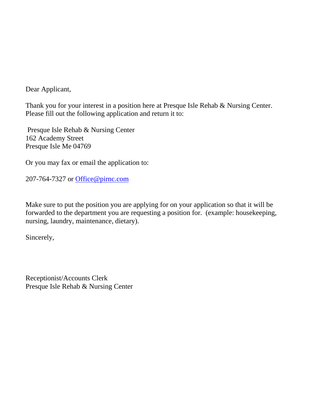Dear Applicant,

Thank you for your interest in a position here at Presque Isle Rehab & Nursing Center. Please fill out the following application and return it to:

Presque Isle Rehab & Nursing Center 162 Academy Street Presque Isle Me 04769

Or you may fax or email the application to:

207-764-7327 or [Office@pirnc.com](mailto:Office@pirnc.com)

Make sure to put the position you are applying for on your application so that it will be forwarded to the department you are requesting a position for. (example: housekeeping, nursing, laundry, maintenance, dietary).

Sincerely,

Receptionist/Accounts Clerk Presque Isle Rehab & Nursing Center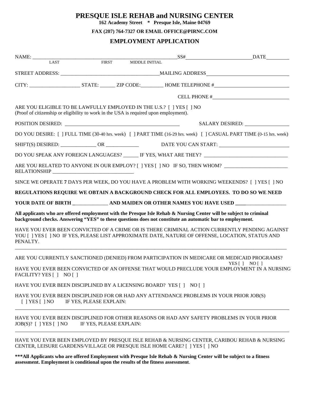# **PRESQUE ISLE REHAB and NURSING CENTER**

**162 Academy Street \* Presque Isle, Maine 04769**

**FAX (207) 764-7327 OR EMAIL OFFICE@PIRNC.COM**

### **EMPLOYMENT APPLICATION**

|                                                                                                                                                               |                         |                         |                                                                                                                                                                                                                                 | $SS#$ DATE                                                                                                                                                                                                                     |
|---------------------------------------------------------------------------------------------------------------------------------------------------------------|-------------------------|-------------------------|---------------------------------------------------------------------------------------------------------------------------------------------------------------------------------------------------------------------------------|--------------------------------------------------------------------------------------------------------------------------------------------------------------------------------------------------------------------------------|
| LAST                                                                                                                                                          |                         | FIRST MIDDLE INITIAL    |                                                                                                                                                                                                                                 |                                                                                                                                                                                                                                |
|                                                                                                                                                               |                         |                         |                                                                                                                                                                                                                                 |                                                                                                                                                                                                                                |
|                                                                                                                                                               |                         |                         |                                                                                                                                                                                                                                 |                                                                                                                                                                                                                                |
|                                                                                                                                                               |                         |                         |                                                                                                                                                                                                                                 | CELL PHONE # THE RESERVE TO THE RESERVE THE RESERVE THAT A RESERVE THE RESERVE THAT A RESERVE THAT A RESERVE THAT A RESERVE THAT A RESERVE THAT A RESERVE THAT A RESERVE THAT A REPORT OF THE RESERVE THAT A REPORT OF THE RES |
| ARE YOU ELIGIBLE TO BE LAWFULLY EMPLOYED IN THE U.S.? [ ] YES [ ] NO<br>(Proof of citizenship or eligibility to work in the USA is required upon employment). |                         |                         |                                                                                                                                                                                                                                 |                                                                                                                                                                                                                                |
|                                                                                                                                                               |                         |                         |                                                                                                                                                                                                                                 | SALARY DESIRED: ________________                                                                                                                                                                                               |
|                                                                                                                                                               |                         |                         |                                                                                                                                                                                                                                 | DO YOU DESIRE: [ ] FULL TIME (30-40 hrs. week) [ ] PART TIME (16-29 hrs. week) [ ] CASUAL PART TIME (0-15 hrs. week)                                                                                                           |
|                                                                                                                                                               |                         |                         |                                                                                                                                                                                                                                 | SHIFT(S) DESIRED: _______________ OR _______________ DATE YOU CAN START: ___________________________                                                                                                                           |
|                                                                                                                                                               |                         |                         |                                                                                                                                                                                                                                 | DO YOU SPEAK ANY FOREIGN LANGUAGES? ______ IF YES, WHAT ARE THEY? __________________________________                                                                                                                           |
|                                                                                                                                                               |                         |                         |                                                                                                                                                                                                                                 | ARE YOU RELATED TO ANYONE IN OUR EMPLOY? [ ] YES [ ] NO IF SO, THEN WHOM? _________________________                                                                                                                            |
|                                                                                                                                                               |                         |                         |                                                                                                                                                                                                                                 | SINCE WE OPERATE 7 DAYS PER WEEK, DO YOU HAVE A PROBLEM WITH WORKING WEEKENDS? [ ] YES [ ] NO                                                                                                                                  |
|                                                                                                                                                               |                         |                         |                                                                                                                                                                                                                                 | REGULATIONS REQUIRE WE OBTAIN A BACKGROUND CHECK FOR ALL EMPLOYEES. TO DO SO WE NEED                                                                                                                                           |
|                                                                                                                                                               |                         |                         |                                                                                                                                                                                                                                 | YOUR DATE OF BIRTH ____________ AND MAIDEN OR OTHER NAMES YOU HAVE USED _______________                                                                                                                                        |
|                                                                                                                                                               |                         |                         | All applicants who are offered employment with the Presque Isle Rehab & Nursing Center will be subject to criminal<br>background checks. Answering "YES" to these questions does not constitute an automatic bar to employment. |                                                                                                                                                                                                                                |
| PENALTY.                                                                                                                                                      |                         |                         |                                                                                                                                                                                                                                 | HAVE YOU EVER BEEN CONVICTED OF A CRIME OR IS THERE CRIMINAL ACTION CURRENTLY PENDING AGAINST<br>YOU [ ] YES [ ] NO IF YES, PLEASE LIST APPROXIMATE DATE, NATURE OF OFFENSE, LOCATION, STATUS AND                              |
|                                                                                                                                                               |                         |                         |                                                                                                                                                                                                                                 | ARE YOU CURRENTLY SANCTIONED (DENIED) FROM PARTICIPATION IN MEDICARE OR MEDICAID PROGRAMS?                                                                                                                                     |
| FACILITY? YES [] NO []                                                                                                                                        |                         |                         |                                                                                                                                                                                                                                 | $YES$ $ $ $NO$ $ $<br>HAVE YOU EVER BEEN CONVICTED OF AN OFFENSE THAT WOULD PRECLUDE YOUR EMPLOYMENT IN A NURSING                                                                                                              |
| HAVE YOU EVER BEEN DISCIPLINED BY A LICENSING BOARD? YES [ ] NO [ ]                                                                                           |                         |                         |                                                                                                                                                                                                                                 |                                                                                                                                                                                                                                |
| $[$   YES $[$   NO                                                                                                                                            | IF YES, PLEASE EXPLAIN: |                         | HAVE YOU EVER BEEN DISCIPLINED FOR OR HAD ANY ATTENDANCE PROBLEMS IN YOUR PRIOR JOB(S)                                                                                                                                          |                                                                                                                                                                                                                                |
| $JOB(S)?$ [ ] YES [ ] NO                                                                                                                                      |                         | IF YES, PLEASE EXPLAIN: |                                                                                                                                                                                                                                 | HAVE YOU EVER BEEN DISCIPLINED FOR OTHER REASONS OR HAD ANY SAFETY PROBLEMS IN YOUR PRIOR                                                                                                                                      |
|                                                                                                                                                               |                         |                         | CENTER, LEISURE GARDENS/VILLAGE OR PRESQUE ISLE HOME CARE? [ ] YES [ ] NO                                                                                                                                                       | HAVE YOU EVER BEEN EMPLOYED BY PRESQUE ISLE REHAB & NURSING CENTER, CARIBOU REHAB & NURSING                                                                                                                                    |

**\*\*\*All Applicants who are offered Employment with Presque Isle Rehab & Nursing Center will be subject to a fitness assessment. Employment is conditional upon the results of the fitness assessment**.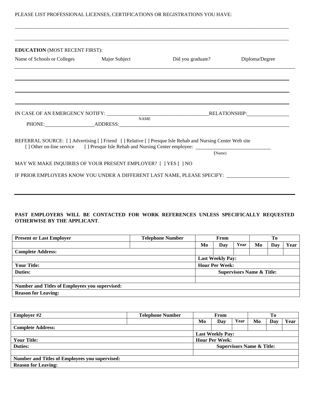## PLEASE LIST PROFESSIONAL LICENSES, CERTIFICATIONS OR REGISTRATIONS YOU HAVE:

| <b>EDUCATION (MOST RECENT FIRST):</b>                          |             |                                                                                                                                                                                                                |                |
|----------------------------------------------------------------|-------------|----------------------------------------------------------------------------------------------------------------------------------------------------------------------------------------------------------------|----------------|
| Name of Schools or Colleges Major Subject                      |             | Did you graduate?                                                                                                                                                                                              | Diploma/Degree |
|                                                                |             |                                                                                                                                                                                                                |                |
|                                                                |             |                                                                                                                                                                                                                |                |
|                                                                |             |                                                                                                                                                                                                                |                |
|                                                                |             |                                                                                                                                                                                                                |                |
|                                                                |             |                                                                                                                                                                                                                |                |
|                                                                | <b>NAME</b> | PHONE: ADDRESS: ADDRESS:                                                                                                                                                                                       |                |
|                                                                |             |                                                                                                                                                                                                                |                |
|                                                                |             | REFERRAL SOURCE: [] Advertising [] Friend [] Relative [] Presque Isle Rehab and Nursing Center Web site<br>[ ] Other on-line service [ ] Presque Isle Rehab and Nursing Center employee: _____________________ |                |
|                                                                |             | (Name)                                                                                                                                                                                                         |                |
|                                                                |             |                                                                                                                                                                                                                |                |
| MAY WE MAKE INQUIRIES OF YOUR PRESENT EMPLOYER? [ ] YES [ ] NO |             |                                                                                                                                                                                                                |                |

\_\_\_\_\_\_\_\_\_\_\_\_\_\_\_\_\_\_\_\_\_\_\_\_\_\_\_\_\_\_\_\_\_\_\_\_\_\_\_\_\_\_\_\_\_\_\_\_\_\_\_\_\_\_\_\_\_\_\_\_\_\_\_\_\_\_\_\_\_\_\_\_\_\_\_\_\_\_\_\_\_\_\_\_\_\_\_\_\_\_\_\_\_\_\_\_\_\_\_\_\_\_\_\_\_\_\_

### **PAST EMPLOYERS WILL BE CONTACTED FOR WORK REFERENCES UNLESS SPECIFICALLY REQUESTED OTHERWISE BY THE APPLICANT**.

| <b>Present or Last Employer</b>                       | <b>Telephone Number</b> | From                                 |                       |      |    |     |      |
|-------------------------------------------------------|-------------------------|--------------------------------------|-----------------------|------|----|-----|------|
|                                                       |                         | Mo                                   | Day                   | Year | Mo | Dav | Year |
| <b>Complete Address:</b>                              |                         |                                      |                       |      |    |     |      |
|                                                       |                         | <b>Last Weekly Pay:</b>              |                       |      |    |     |      |
| <b>Your Title:</b>                                    |                         |                                      | <b>Hour Per Week:</b> |      |    |     |      |
| <b>Duties:</b>                                        |                         | <b>Supervisors Name &amp; Title:</b> |                       |      |    |     |      |
|                                                       |                         |                                      |                       |      |    |     |      |
| <b>Number and Titles of Employees you supervised:</b> |                         |                                      |                       |      |    |     |      |
| <b>Reason for Leaving:</b>                            |                         |                                      |                       |      |    |     |      |

| <b>Employer #2</b>                                    | <b>Telephone Number</b> | From                                 |                       | To   |    |     |      |
|-------------------------------------------------------|-------------------------|--------------------------------------|-----------------------|------|----|-----|------|
|                                                       |                         | Mo                                   | Dav                   | Year | Mo | Dav | Year |
| <b>Complete Address:</b>                              |                         |                                      |                       |      |    |     |      |
| <b>Last Weekly Pay:</b>                               |                         |                                      |                       |      |    |     |      |
| <b>Your Title:</b>                                    |                         |                                      | <b>Hour Per Week:</b> |      |    |     |      |
| <b>Duties:</b>                                        |                         | <b>Supervisors Name &amp; Title:</b> |                       |      |    |     |      |
|                                                       |                         |                                      |                       |      |    |     |      |
| <b>Number and Titles of Employees you supervised:</b> |                         |                                      |                       |      |    |     |      |
| <b>Reason for Leaving:</b>                            |                         |                                      |                       |      |    |     |      |
|                                                       |                         |                                      |                       |      |    |     |      |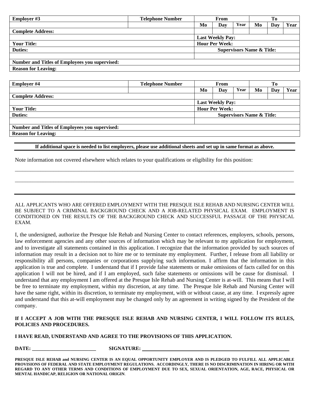| <b>Employer #3</b>                                     | <b>Telephone Number</b> | From |                         |      |    |     |      |
|--------------------------------------------------------|-------------------------|------|-------------------------|------|----|-----|------|
|                                                        |                         | Mo   | Day                     | Year | Mo | Day | Year |
| <b>Complete Address:</b>                               |                         |      |                         |      |    |     |      |
|                                                        |                         |      | <b>Last Weekly Pay:</b> |      |    |     |      |
| <b>Hour Per Week:</b><br><b>Your Title:</b>            |                         |      |                         |      |    |     |      |
| <b>Duties:</b><br><b>Supervisors Name &amp; Title:</b> |                         |      |                         |      |    |     |      |
|                                                        |                         |      |                         |      |    |     |      |
| <b>Number and Titles of Employees you supervised:</b>  |                         |      |                         |      |    |     |      |
| <b>Reason for Leaving:</b>                             |                         |      |                         |      |    |     |      |

| <b>Employer #4</b>                                    | <b>Telephone Number</b> | From |                         |      |                                      |     |      |
|-------------------------------------------------------|-------------------------|------|-------------------------|------|--------------------------------------|-----|------|
|                                                       |                         | Mo   | Day                     | Year | Mo                                   | Day | Year |
| <b>Complete Address:</b>                              |                         |      |                         |      |                                      |     |      |
|                                                       |                         |      | <b>Last Weekly Pay:</b> |      |                                      |     |      |
| <b>Your Title:</b>                                    |                         |      | <b>Hour Per Week:</b>   |      |                                      |     |      |
| <b>Duties:</b>                                        |                         |      |                         |      | <b>Supervisors Name &amp; Title:</b> |     |      |
|                                                       |                         |      |                         |      |                                      |     |      |
| <b>Number and Titles of Employees you supervised:</b> |                         |      |                         |      |                                      |     |      |
| <b>Reason for Leaving:</b>                            |                         |      |                         |      |                                      |     |      |

#### **If additional space is needed to list employers, please use additional sheets and set up in same format as above.**

\_\_\_\_\_\_\_\_\_\_\_\_\_\_\_\_\_\_\_\_\_\_\_\_\_\_\_\_\_\_\_\_\_\_\_\_\_\_\_\_\_\_\_\_\_\_\_\_\_\_\_\_\_\_\_\_\_\_\_\_\_\_\_\_\_\_\_\_\_\_\_\_\_\_\_\_\_\_\_\_\_\_\_\_\_\_\_\_\_\_\_\_\_\_\_\_\_\_\_\_\_\_\_\_\_\_\_\_\_

\_\_\_\_\_\_\_\_\_\_\_\_\_\_\_\_\_\_\_\_\_\_\_\_\_\_\_\_\_\_\_\_\_\_\_\_\_\_\_\_\_\_\_\_\_\_\_\_\_\_\_\_\_\_\_\_\_\_\_\_\_\_\_\_\_\_\_\_\_\_\_\_\_\_\_\_\_\_\_\_\_\_\_\_\_\_\_\_\_\_\_\_\_\_\_\_\_\_\_\_\_\_\_\_\_\_\_\_\_

Note information not covered elsewhere which relates to your qualifications or eligibility for this position:

ALL APPLICANTS WHO ARE OFFERED EMPLOYMENT WITH THE PRESQUE ISLE REHAB AND NURSING CENTER WILL BE SUBJECT TO A CRIMINAL BACKGROUND CHECK AND A JOB-RELATED PHYSICAL EXAM. EMPLOYMENT IS CONDITIONED ON THE RESULTS OF THE BACKGROUND CHECK AND SUCCESSFUL PASSAGE OF THE PHYSICAL EXAM.

I, the undersigned, authorize the Presque Isle Rehab and Nursing Center to contact references, employers, schools, persons, law enforcement agencies and any other sources of information which may be relevant to my application for employment, and to investigate all statements contained in this application. I recognize that the information provided by such sources of information may result in a decision not to hire me or to terminate my employment. Further, I release from all liability or responsibility all persons, companies or corporations supplying such information. I affirm that the information in this application is true and complete. I understand that if I provide false statements or make omissions of facts called for on this application I will not be hired, and if I am employed, such false statements or omissions will be cause for dismissal. I understand that any employment I am offered at the Presque Isle Rehab and Nursing Center is at-will. This means that I will be free to terminate my employment, within my discretion, at any time. The Presque Isle Rehab and Nursing Center will have the same right, within its discretion, to terminate my employment, with or without cause, at any time. I expressly agree and understand that this at-will employment may be changed only by an agreement in writing signed by the President of the company.

### **If I ACCEPT A JOB WITH THE PRESQUE ISLE REHAB AND NURSING CENTER, I WILL FOLLOW ITS RULES, POLICIES AND PROCEDURES.**

#### **I HAVE READ, UNDERSTAND AND AGREE TO THE PROVISIONS OF THIS APPLICATION.**

**DATE: \_\_\_\_\_\_\_\_\_\_\_\_\_\_\_\_\_\_\_\_\_\_\_\_\_ SIGNATURE:** 

**PRESQUE ISLE REHAB and NURSING CENTER IS AN EQUAL OPPORTUNITY EMPLOYER AND IS PLEDGED TO FULFILL ALL APPLICABLE PROVISIONS OF FEDERAL AND STATE EMPLOYMENT REGULATIONS. ACCORDINGLY, THERE IS NO DISCRIMINATION IN HIRING OR WITH REGARD TO ANY OTHER TERMS AND CONDITIONS OF EMPLOYMENT DUE TO SEX, SEXUAL ORIENTATION, AGE, RACE, PHYSICAL OR MENTAL HANDICAP, RELIGION OR NATIONAL ORIGIN**.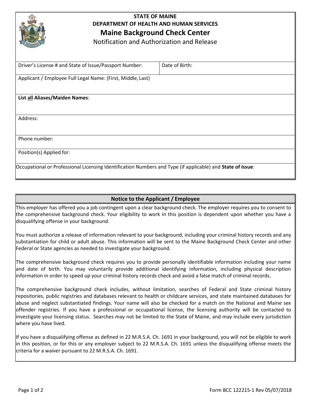

# **STATE OF MAINE DEPARTMENT OF HEALTH AND HUMAN SERVICES Maine Background Check Center**

Notification and Authorization and Release

| Driver's License # and State of Issue/Passport Number:                                                     | Date of Birth: |
|------------------------------------------------------------------------------------------------------------|----------------|
| Applicant / Employee Full Legal Name: (First, Middle, Last)                                                |                |
|                                                                                                            |                |
| List all Aliases/Maiden Names:                                                                             |                |
|                                                                                                            |                |
| Address:                                                                                                   |                |
|                                                                                                            |                |
| Phone number:                                                                                              |                |
| Position(s) Applied for:                                                                                   |                |
| Occupational or Professional Licensing Identification Numbers and Type (if applicable) and State of Issue: |                |

## **Notice to the Applicant / Employee**

This employer has offered you a job contingent upon a clear background check. The employer requires you to consent to the comprehensive background check. Your eligibility to work in this position is dependent upon whether you have a disqualifying offense in your background.

You must authorize a release of information relevant to your background, including your criminal history records and any substantiation for child or adult abuse. This information will be sent to the Maine Background Check Center and other Federal or State agencies as needed to investigate your background.

The comprehensive background check requires you to provide personally identifiable information including your name and date of birth. You may voluntarily provide additional identifying information, including physical description information in order to speed up your criminal history records check and avoid a false match of criminal records.

The comprehensive background check includes, without limitation, searches of Federal and State criminal history repositories, public registries and databases relevant to health or childcare services, and state maintained databases for abuse and neglect substantiated findings. Your name will also be checked for a match on the National and Maine sex offender registries. If you have a professional or occupational license, the licensing authority will be contacted to investigate your licensing status. Searches may not be limited to the State of Maine, and may include every jurisdiction where you have lived.

If you have a disqualifying offense as defined in 22 M.R.S.A. Ch. 1691 in your background, you will not be eligible to work in this position, or for this or any employer subject to 22 M.R.S.A. Ch. 1691 unless the disqualifying offense meets the criteria for a waiver pursuant to 22 M.R.S.A. Ch. 1691.